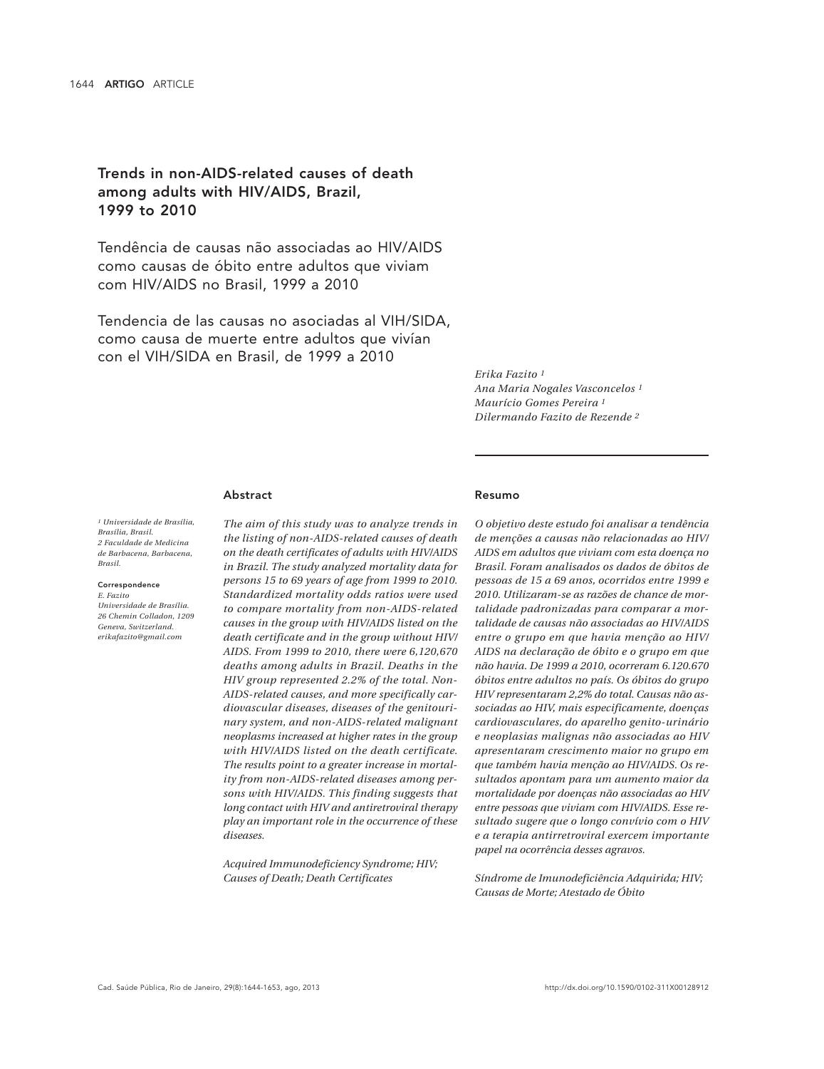# Trends in non-AIDS-related causes of death among adults with HIV/AIDS, Brazil, 1999 to 2010

Tendência de causas não associadas ao HIV/AIDS como causas de óbito entre adultos que viviam com HIV/AIDS no Brasil, 1999 a 2010

Tendencia de las causas no asociadas al VIH/SIDA, como causa de muerte entre adultos que vivían con el VIH/SIDA en Brasil, de 1999 a 2010

> *Erika Fazito 1 Ana Maria Nogales Vasconcelos 1 Maurício Gomes Pereira 1 Dilermando Fazito de Rezende 2*

### Abstract

*1 Universidade de Brasília, Brasília, Brasil. 2 Faculdade de Medicina de Barbacena, Barbacena, Brasil.*

### Correspondence

*E. Fazito Universidade de Brasília. 26 Chemin Colladon, 1209 Geneva, Switzerland. erikafazito@gmail.com*

*The aim of this study was to analyze trends in the listing of non-AIDS-related causes of death on the death certificates of adults with HIV/AIDS in Brazil. The study analyzed mortality data for persons 15 to 69 years of age from 1999 to 2010. Standardized mortality odds ratios were used to compare mortality from non-AIDS-related causes in the group with HIV/AIDS listed on the death certificate and in the group without HIV/ AIDS. From 1999 to 2010, there were 6,120,670 deaths among adults in Brazil. Deaths in the HIV group represented 2.2% of the total. Non-AIDS-related causes, and more specifically cardiovascular diseases, diseases of the genitourinary system, and non-AIDS-related malignant neoplasms increased at higher rates in the group with HIV/AIDS listed on the death certificate. The results point to a greater increase in mortality from non-AIDS-related diseases among persons with HIV/AIDS. This finding suggests that long contact with HIV and antiretroviral therapy play an important role in the occurrence of these diseases.*

*Acquired Immunodeficiency Syndrome; HIV; Causes of Death; Death Certificates*

### Resumo

*O objetivo deste estudo foi analisar a tendência de menções a causas não relacionadas ao HIV/ AIDS em adultos que viviam com esta doença no Brasil. Foram analisados os dados de óbitos de pessoas de 15 a 69 anos, ocorridos entre 1999 e 2010. Utilizaram-se as razões de chance de mortalidade padronizadas para comparar a mortalidade de causas não associadas ao HIV/AIDS entre o grupo em que havia menção ao HIV/ AIDS na declaração de óbito e o grupo em que não havia. De 1999 a 2010, ocorreram 6.120.670 óbitos entre adultos no país. Os óbitos do grupo HIV representaram 2,2% do total. Causas não associadas ao HIV, mais especificamente, doenças cardiovasculares, do aparelho genito-urinário e neoplasias malignas não associadas ao HIV apresentaram crescimento maior no grupo em que também havia menção ao HIV/AIDS. Os resultados apontam para um aumento maior da mortalidade por doenças não associadas ao HIV entre pessoas que viviam com HIV/AIDS. Esse resultado sugere que o longo convívio com o HIV e a terapia antirretroviral exercem importante papel na ocorrência desses agravos.*

*Síndrome de Imunodeficiência Adquirida; HIV; Causas de Morte; Atestado de Óbito*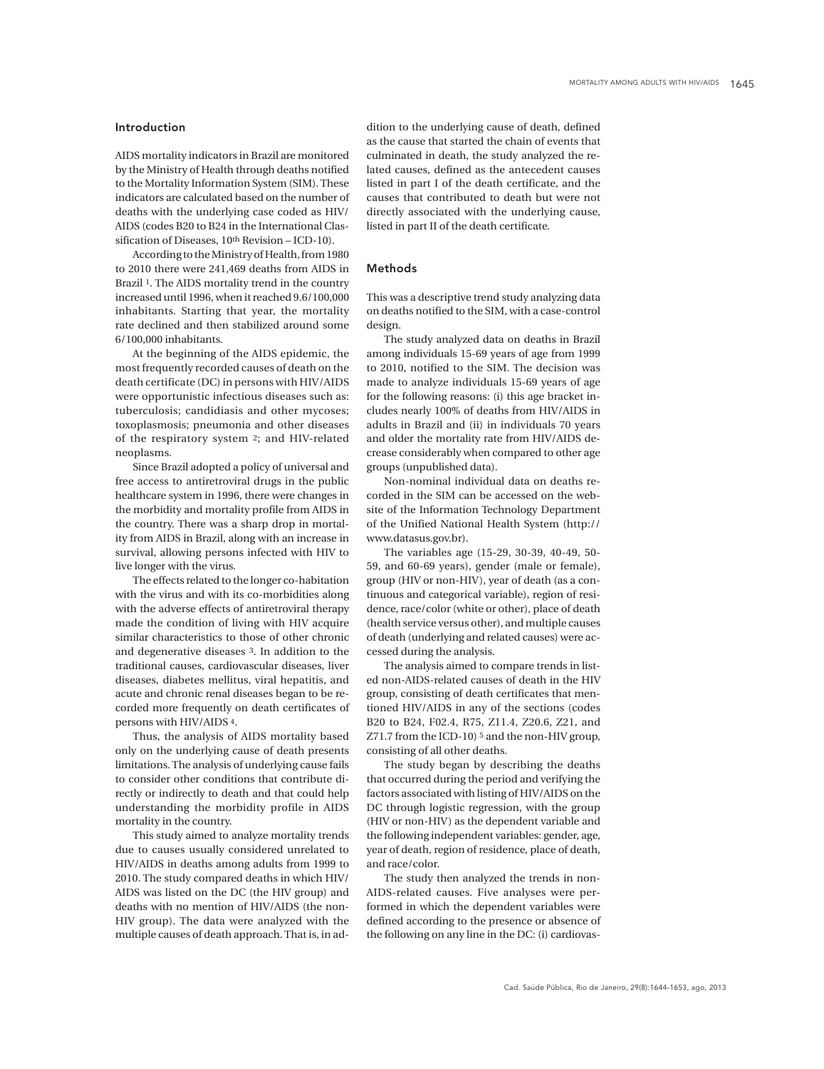### Introduction

AIDS mortality indicators in Brazil are monitored by the Ministry of Health through deaths notified to the Mortality Information System (SIM). These indicators are calculated based on the number of deaths with the underlying case coded as HIV/ AIDS (codes B20 to B24 in the International Classification of Diseases, 10th Revision – ICD-10).

According to the Ministry of Health, from 1980 to 2010 there were 241,469 deaths from AIDS in Brazil 1. The AIDS mortality trend in the country increased until 1996, when it reached 9.6/100,000 inhabitants. Starting that year, the mortality rate declined and then stabilized around some 6/100,000 inhabitants.

At the beginning of the AIDS epidemic, the most frequently recorded causes of death on the death certificate (DC) in persons with HIV/AIDS were opportunistic infectious diseases such as: tuberculosis; candidiasis and other mycoses; toxoplasmosis; pneumonia and other diseases of the respiratory system 2; and HIV-related neoplasms.

Since Brazil adopted a policy of universal and free access to antiretroviral drugs in the public healthcare system in 1996, there were changes in the morbidity and mortality profile from AIDS in the country. There was a sharp drop in mortality from AIDS in Brazil, along with an increase in survival, allowing persons infected with HIV to live longer with the virus.

The effects related to the longer co-habitation with the virus and with its co-morbidities along with the adverse effects of antiretroviral therapy made the condition of living with HIV acquire similar characteristics to those of other chronic and degenerative diseases 3. In addition to the traditional causes, cardiovascular diseases, liver diseases, diabetes mellitus, viral hepatitis, and acute and chronic renal diseases began to be recorded more frequently on death certificates of persons with HIV/AIDS 4.

Thus, the analysis of AIDS mortality based only on the underlying cause of death presents limitations. The analysis of underlying cause fails to consider other conditions that contribute directly or indirectly to death and that could help understanding the morbidity profile in AIDS mortality in the country.

This study aimed to analyze mortality trends due to causes usually considered unrelated to HIV/AIDS in deaths among adults from 1999 to 2010. The study compared deaths in which HIV/ AIDS was listed on the DC (the HIV group) and deaths with no mention of HIV/AIDS (the non-HIV group). The data were analyzed with the multiple causes of death approach. That is, in ad-

dition to the underlying cause of death, defined as the cause that started the chain of events that culminated in death, the study analyzed the related causes, defined as the antecedent causes listed in part I of the death certificate, and the causes that contributed to death but were not directly associated with the underlying cause, listed in part II of the death certificate.

# Methods

This was a descriptive trend study analyzing data on deaths notified to the SIM, with a case-control design.

The study analyzed data on deaths in Brazil among individuals 15-69 years of age from 1999 to 2010, notified to the SIM. The decision was made to analyze individuals 15-69 years of age for the following reasons: (i) this age bracket includes nearly 100% of deaths from HIV/AIDS in adults in Brazil and (ii) in individuals 70 years and older the mortality rate from HIV/AIDS decrease considerably when compared to other age groups (unpublished data).

Non-nominal individual data on deaths recorded in the SIM can be accessed on the website of the Information Technology Department of the Unified National Health System (http:// www.datasus.gov.br).

The variables age (15-29, 30-39, 40-49, 50- 59, and 60-69 years), gender (male or female), group (HIV or non-HIV), year of death (as a continuous and categorical variable), region of residence, race/color (white or other), place of death (health service versus other), and multiple causes of death (underlying and related causes) were accessed during the analysis.

The analysis aimed to compare trends in listed non-AIDS-related causes of death in the HIV group, consisting of death certificates that mentioned HIV/AIDS in any of the sections (codes B20 to B24, F02.4, R75, Z11.4, Z20.6, Z21, and Z71.7 from the ICD-10) 5 and the non-HIV group, consisting of all other deaths.

The study began by describing the deaths that occurred during the period and verifying the factors associated with listing of HIV/AIDS on the DC through logistic regression, with the group (HIV or non-HIV) as the dependent variable and the following independent variables: gender, age, year of death, region of residence, place of death, and race/color.

The study then analyzed the trends in non-AIDS-related causes. Five analyses were performed in which the dependent variables were defined according to the presence or absence of the following on any line in the DC: (i) cardiovas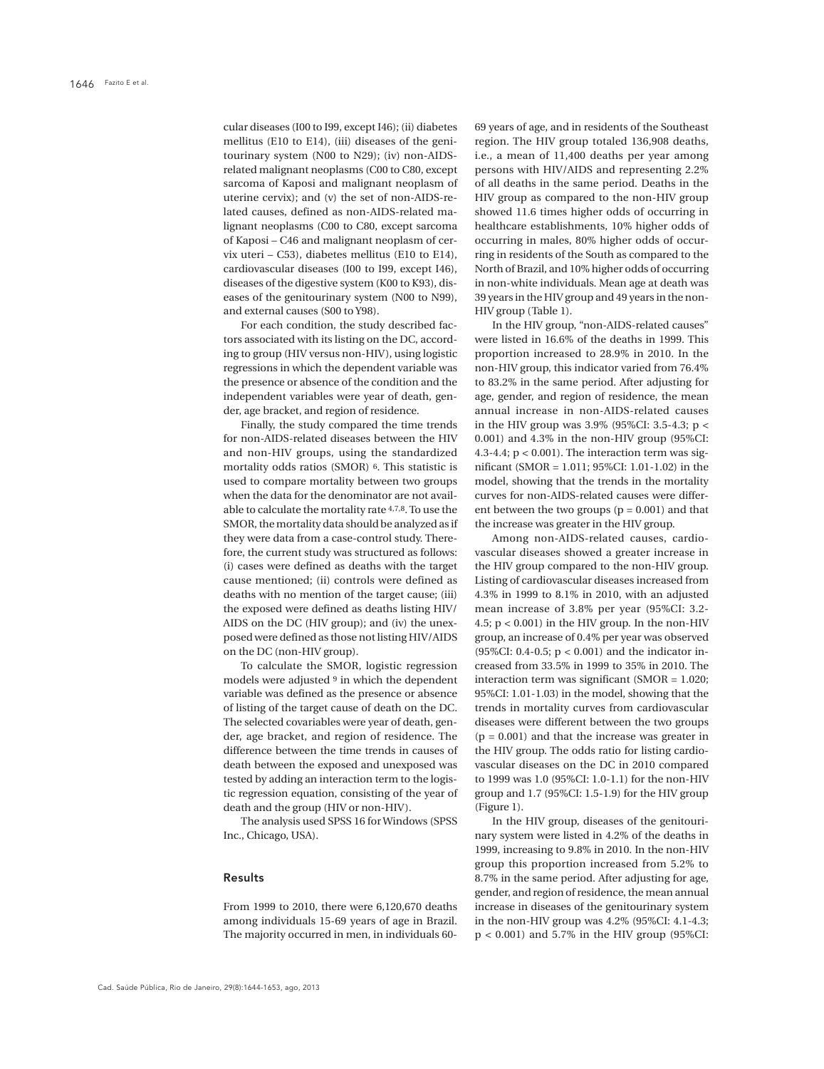cular diseases (I00 to I99, except I46); (ii) diabetes mellitus (E10 to E14), (iii) diseases of the genitourinary system (N00 to N29); (iv) non-AIDSrelated malignant neoplasms (C00 to C80, except sarcoma of Kaposi and malignant neoplasm of uterine cervix); and (v) the set of non-AIDS-related causes, defined as non-AIDS-related malignant neoplasms (C00 to C80, except sarcoma of Kaposi – C46 and malignant neoplasm of cervix uteri – C53), diabetes mellitus (E10 to E14), cardiovascular diseases (I00 to I99, except I46), diseases of the digestive system (K00 to K93), diseases of the genitourinary system (N00 to N99), and external causes (S00 to Y98).

For each condition, the study described factors associated with its listing on the DC, according to group (HIV versus non-HIV), using logistic regressions in which the dependent variable was the presence or absence of the condition and the independent variables were year of death, gender, age bracket, and region of residence.

Finally, the study compared the time trends for non-AIDS-related diseases between the HIV and non-HIV groups, using the standardized mortality odds ratios (SMOR) 6. This statistic is used to compare mortality between two groups when the data for the denominator are not available to calculate the mortality rate 4,7,8. To use the SMOR, the mortality data should be analyzed as if they were data from a case-control study. Therefore, the current study was structured as follows: (i) cases were defined as deaths with the target cause mentioned; (ii) controls were defined as deaths with no mention of the target cause; (iii) the exposed were defined as deaths listing HIV/ AIDS on the DC (HIV group); and (iv) the unexposed were defined as those not listing HIV/AIDS on the DC (non-HIV group).

To calculate the SMOR, logistic regression models were adjusted 9 in which the dependent variable was defined as the presence or absence of listing of the target cause of death on the DC. The selected covariables were year of death, gender, age bracket, and region of residence. The difference between the time trends in causes of death between the exposed and unexposed was tested by adding an interaction term to the logistic regression equation, consisting of the year of death and the group (HIV or non-HIV).

The analysis used SPSS 16 for Windows (SPSS Inc., Chicago, USA).

# Results

From 1999 to 2010, there were 6,120,670 deaths among individuals 15-69 years of age in Brazil. The majority occurred in men, in individuals 6069 years of age, and in residents of the Southeast region. The HIV group totaled 136,908 deaths, i.e., a mean of 11,400 deaths per year among persons with HIV/AIDS and representing 2.2% of all deaths in the same period. Deaths in the HIV group as compared to the non-HIV group showed 11.6 times higher odds of occurring in healthcare establishments, 10% higher odds of occurring in males, 80% higher odds of occurring in residents of the South as compared to the North of Brazil, and 10% higher odds of occurring in non-white individuals. Mean age at death was 39 years in the HIV group and 49 years in the non-HIV group (Table 1).

In the HIV group, "non-AIDS-related causes" were listed in 16.6% of the deaths in 1999. This proportion increased to 28.9% in 2010. In the non-HIV group, this indicator varied from 76.4% to 83.2% in the same period. After adjusting for age, gender, and region of residence, the mean annual increase in non-AIDS-related causes in the HIV group was 3.9% (95%CI: 3.5-4.3; p < 0.001) and 4.3% in the non-HIV group (95%CI: 4.3-4.4;  $p < 0.001$ ). The interaction term was significant (SMOR = 1.011; 95%CI: 1.01-1.02) in the model, showing that the trends in the mortality curves for non-AIDS-related causes were different between the two groups  $(p = 0.001)$  and that the increase was greater in the HIV group.

Among non-AIDS-related causes, cardiovascular diseases showed a greater increase in the HIV group compared to the non-HIV group. Listing of cardiovascular diseases increased from 4.3% in 1999 to 8.1% in 2010, with an adjusted mean increase of 3.8% per year (95%CI: 3.2- 4.5;  $p < 0.001$ ) in the HIV group. In the non-HIV group, an increase of 0.4% per year was observed (95%CI: 0.4-0.5;  $p < 0.001$ ) and the indicator increased from 33.5% in 1999 to 35% in 2010. The interaction term was significant (SMOR = 1.020; 95%CI: 1.01-1.03) in the model, showing that the trends in mortality curves from cardiovascular diseases were different between the two groups  $(p = 0.001)$  and that the increase was greater in the HIV group. The odds ratio for listing cardiovascular diseases on the DC in 2010 compared to 1999 was 1.0 (95%CI: 1.0-1.1) for the non-HIV group and 1.7 (95%CI: 1.5-1.9) for the HIV group (Figure 1).

In the HIV group, diseases of the genitourinary system were listed in 4.2% of the deaths in 1999, increasing to 9.8% in 2010. In the non-HIV group this proportion increased from 5.2% to 8.7% in the same period. After adjusting for age, gender, and region of residence, the mean annual increase in diseases of the genitourinary system in the non-HIV group was 4.2% (95%CI: 4.1-4.3; p < 0.001) and 5.7% in the HIV group (95%CI: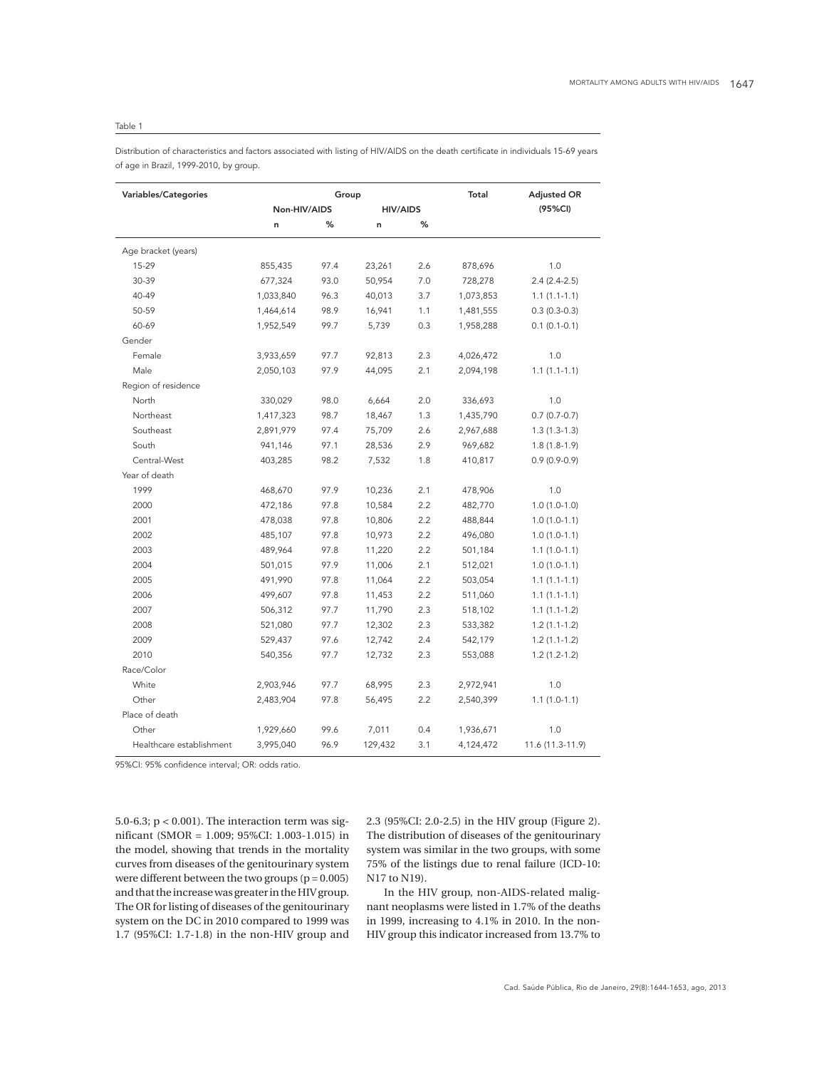# Table 1

Distribution of characteristics and factors associated with listing of HIV/AIDS on the death certificate in individuals 15-69 years of age in Brazil, 1999-2010, by group.

| Variables/Categories     | Group        |      |                 |     | Total     | <b>Adjusted OR</b> |
|--------------------------|--------------|------|-----------------|-----|-----------|--------------------|
|                          | Non-HIV/AIDS |      | <b>HIV/AIDS</b> |     |           | (95%CI)            |
|                          | n            | %    | n               | %   |           |                    |
| Age bracket (years)      |              |      |                 |     |           |                    |
| 15-29                    | 855,435      | 97.4 | 23,261          | 2.6 | 878,696   | 1.0                |
| 30-39                    | 677,324      | 93.0 | 50,954          | 7.0 | 728,278   | $2.4(2.4-2.5)$     |
| 40-49                    | 1,033,840    | 96.3 | 40,013          | 3.7 | 1,073,853 | $1.1(1.1-1.1)$     |
| 50-59                    | 1,464,614    | 98.9 | 16,941          | 1.1 | 1,481,555 | $0.3(0.3-0.3)$     |
| 60-69                    | 1,952,549    | 99.7 | 5,739           | 0.3 | 1,958,288 | $0.1(0.1-0.1)$     |
| Gender                   |              |      |                 |     |           |                    |
| Female                   | 3,933,659    | 97.7 | 92,813          | 2.3 | 4,026,472 | 1.0                |
| Male                     | 2,050,103    | 97.9 | 44,095          | 2.1 | 2,094,198 | $1.1(1.1-1.1)$     |
| Region of residence      |              |      |                 |     |           |                    |
| North                    | 330,029      | 98.0 | 6,664           | 2.0 | 336,693   | 1.0                |
| Northeast                | 1,417,323    | 98.7 | 18,467          | 1.3 | 1,435,790 | $0.7(0.7-0.7)$     |
| Southeast                | 2,891,979    | 97.4 | 75,709          | 2.6 | 2,967,688 | $1.3(1.3-1.3)$     |
| South                    | 941,146      | 97.1 | 28,536          | 2.9 | 969,682   | $1.8(1.8-1.9)$     |
| Central-West             | 403,285      | 98.2 | 7,532           | 1.8 | 410,817   | $0.9(0.9-0.9)$     |
| Year of death            |              |      |                 |     |           |                    |
| 1999                     | 468,670      | 97.9 | 10,236          | 2.1 | 478,906   | 1.0                |
| 2000                     | 472,186      | 97.8 | 10,584          | 2.2 | 482,770   | $1.0(1.0-1.0)$     |
| 2001                     | 478,038      | 97.8 | 10,806          | 2.2 | 488,844   | $1.0(1.0-1.1)$     |
| 2002                     | 485,107      | 97.8 | 10,973          | 2.2 | 496,080   | $1.0(1.0-1.1)$     |
| 2003                     | 489,964      | 97.8 | 11,220          | 2.2 | 501,184   | $1.1(1.0-1.1)$     |
| 2004                     | 501,015      | 97.9 | 11,006          | 2.1 | 512,021   | $1.0(1.0-1.1)$     |
| 2005                     | 491,990      | 97.8 | 11,064          | 2.2 | 503,054   | $1.1(1.1-1.1)$     |
| 2006                     | 499,607      | 97.8 | 11,453          | 2.2 | 511,060   | $1.1(1.1-1.1)$     |
| 2007                     | 506,312      | 97.7 | 11,790          | 2.3 | 518,102   | $1.1(1.1-1.2)$     |
| 2008                     | 521,080      | 97.7 | 12,302          | 2.3 | 533,382   | $1.2(1.1-1.2)$     |
| 2009                     | 529,437      | 97.6 | 12,742          | 2.4 | 542,179   | $1.2(1.1-1.2)$     |
| 2010                     | 540,356      | 97.7 | 12,732          | 2.3 | 553,088   | $1.2(1.2-1.2)$     |
| Race/Color               |              |      |                 |     |           |                    |
| White                    | 2,903,946    | 97.7 | 68,995          | 2.3 | 2,972,941 | 1.0                |
| Other                    | 2,483,904    | 97.8 | 56,495          | 2.2 | 2,540,399 | $1.1(1.0-1.1)$     |
| Place of death           |              |      |                 |     |           |                    |
| Other                    | 1,929,660    | 99.6 | 7,011           | 0.4 | 1,936,671 | 1.0                |
| Healthcare establishment | 3,995,040    | 96.9 | 129,432         | 3.1 | 4,124,472 | 11.6 (11.3-11.9)   |

95%CI: 95% confidence interval; OR: odds ratio.

5.0-6.3;  $p < 0.001$ ). The interaction term was significant (SMOR = 1.009; 95%CI: 1.003-1.015) in the model, showing that trends in the mortality curves from diseases of the genitourinary system were different between the two groups  $(p = 0.005)$ and that the increase was greater in the HIV group. The OR for listing of diseases of the genitourinary system on the DC in 2010 compared to 1999 was 1.7 (95%CI: 1.7-1.8) in the non-HIV group and

2.3 (95%CI: 2.0-2.5) in the HIV group (Figure 2). The distribution of diseases of the genitourinary system was similar in the two groups, with some 75% of the listings due to renal failure (ICD-10: N17 to N19).

In the HIV group, non-AIDS-related malignant neoplasms were listed in 1.7% of the deaths in 1999, increasing to 4.1% in 2010. In the non-HIV group this indicator increased from 13.7% to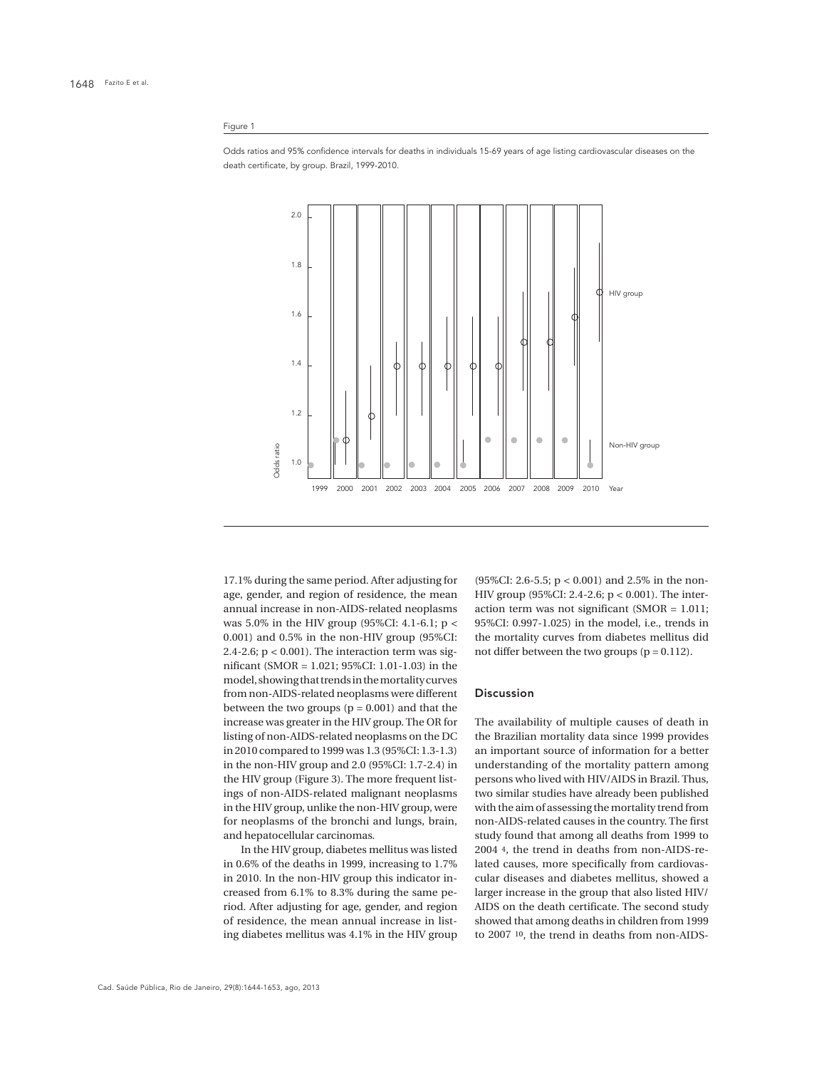#### Figure 1





17.1% during the same period. After adjusting for age, gender, and region of residence, the mean annual increase in non-AIDS-related neoplasms was 5.0% in the HIV group (95%CI: 4.1-6.1; p < 0.001) and 0.5% in the non-HIV group (95%CI: 2.4-2.6;  $p < 0.001$ ). The interaction term was significant (SMOR = 1.021; 95%CI: 1.01-1.03) in the model, showing that trends in the mortality curves from non-AIDS-related neoplasms were different between the two groups  $(p = 0.001)$  and that the increase was greater in the HIV group. The OR for listing of non-AIDS-related neoplasms on the DC in 2010 compared to 1999 was 1.3 (95%CI: 1.3-1.3) in the non-HIV group and 2.0 (95%CI: 1.7-2.4) in the HIV group (Figure 3). The more frequent listings of non-AIDS-related malignant neoplasms in the HIV group, unlike the non-HIV group, were for neoplasms of the bronchi and lungs, brain, and hepatocellular carcinomas.

In the HIV group, diabetes mellitus was listed in 0.6% of the deaths in 1999, increasing to 1.7% in 2010. In the non-HIV group this indicator increased from 6.1% to 8.3% during the same period. After adjusting for age, gender, and region of residence, the mean annual increase in listing diabetes mellitus was 4.1% in the HIV group

(95%CI: 2.6-5.5; p < 0.001) and 2.5% in the non-HIV group (95%CI: 2.4-2.6; p < 0.001). The interaction term was not significant (SMOR = 1.011; 95%CI: 0.997-1.025) in the model, i.e., trends in the mortality curves from diabetes mellitus did not differ between the two groups  $(p = 0.112)$ .

### Discussion

The availability of multiple causes of death in the Brazilian mortality data since 1999 provides an important source of information for a better understanding of the mortality pattern among persons who lived with HIV/AIDS in Brazil. Thus, two similar studies have already been published with the aim of assessing the mortality trend from non-AIDS-related causes in the country. The first study found that among all deaths from 1999 to 2004 4, the trend in deaths from non-AIDS-related causes, more specifically from cardiovascular diseases and diabetes mellitus, showed a larger increase in the group that also listed HIV/ AIDS on the death certificate. The second study showed that among deaths in children from 1999 to 2007 10, the trend in deaths from non-AIDS-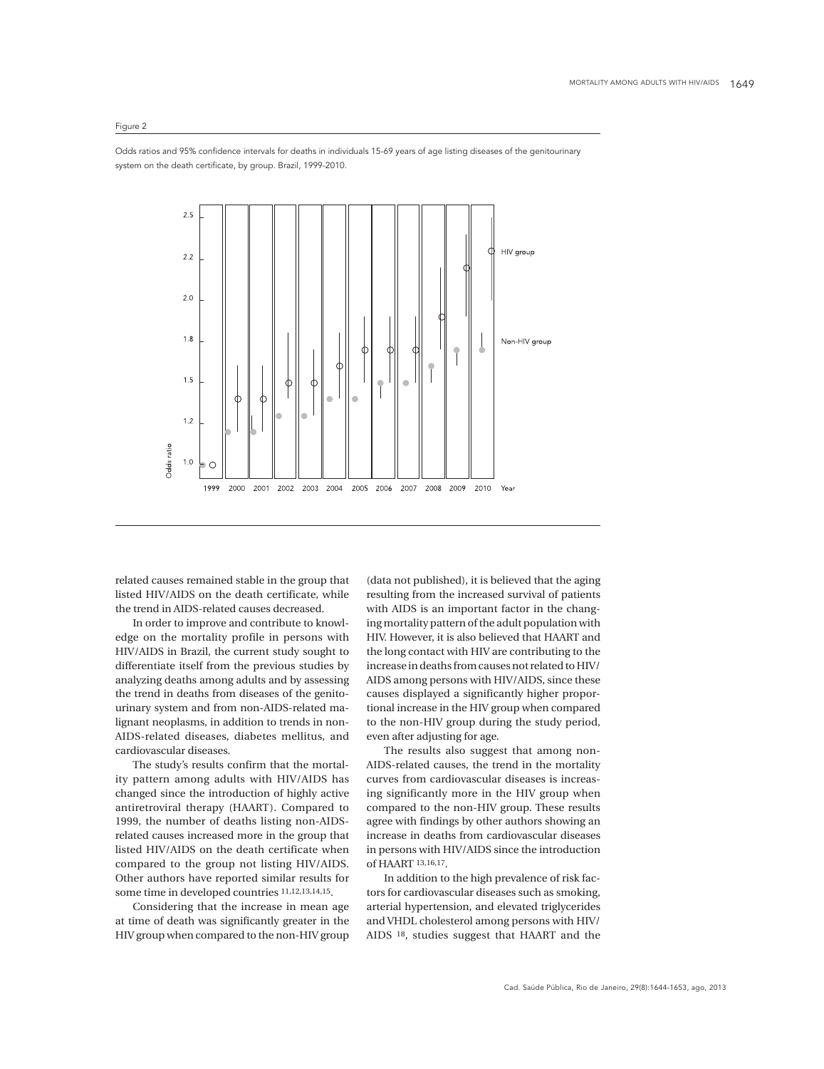# Figure 2

Odds ratios and 95% confidence intervals for deaths in individuals 15-69 years of age listing diseases of the genitourinary system on the death certificate, by group. Brazil, 1999-2010.



related causes remained stable in the group that listed HIV/AIDS on the death certificate, while the trend in AIDS-related causes decreased.

In order to improve and contribute to knowledge on the mortality profile in persons with HIV/AIDS in Brazil, the current study sought to differentiate itself from the previous studies by analyzing deaths among adults and by assessing the trend in deaths from diseases of the genitourinary system and from non-AIDS-related malignant neoplasms, in addition to trends in non-AIDS-related diseases, diabetes mellitus, and cardiovascular diseases.

The study's results confirm that the mortality pattern among adults with HIV/AIDS has changed since the introduction of highly active antiretroviral therapy (HAART). Compared to 1999, the number of deaths listing non-AIDSrelated causes increased more in the group that listed HIV/AIDS on the death certificate when compared to the group not listing HIV/AIDS. Other authors have reported similar results for some time in developed countries 11,12,13,14,15.

Considering that the increase in mean age at time of death was significantly greater in the HIV group when compared to the non-HIV group

(data not published), it is believed that the aging resulting from the increased survival of patients with AIDS is an important factor in the changing mortality pattern of the adult population with HIV. However, it is also believed that HAART and the long contact with HIV are contributing to the increase in deaths from causes not related to HIV/ AIDS among persons with HIV/AIDS, since these causes displayed a significantly higher proportional increase in the HIV group when compared to the non-HIV group during the study period, even after adjusting for age.

The results also suggest that among non-AIDS-related causes, the trend in the mortality curves from cardiovascular diseases is increasing significantly more in the HIV group when compared to the non-HIV group. These results agree with findings by other authors showing an increase in deaths from cardiovascular diseases in persons with HIV/AIDS since the introduction of HAART 13,16,17.

In addition to the high prevalence of risk factors for cardiovascular diseases such as smoking, arterial hypertension, and elevated triglycerides and VHDL cholesterol among persons with HIV/ AIDS 18, studies suggest that HAART and the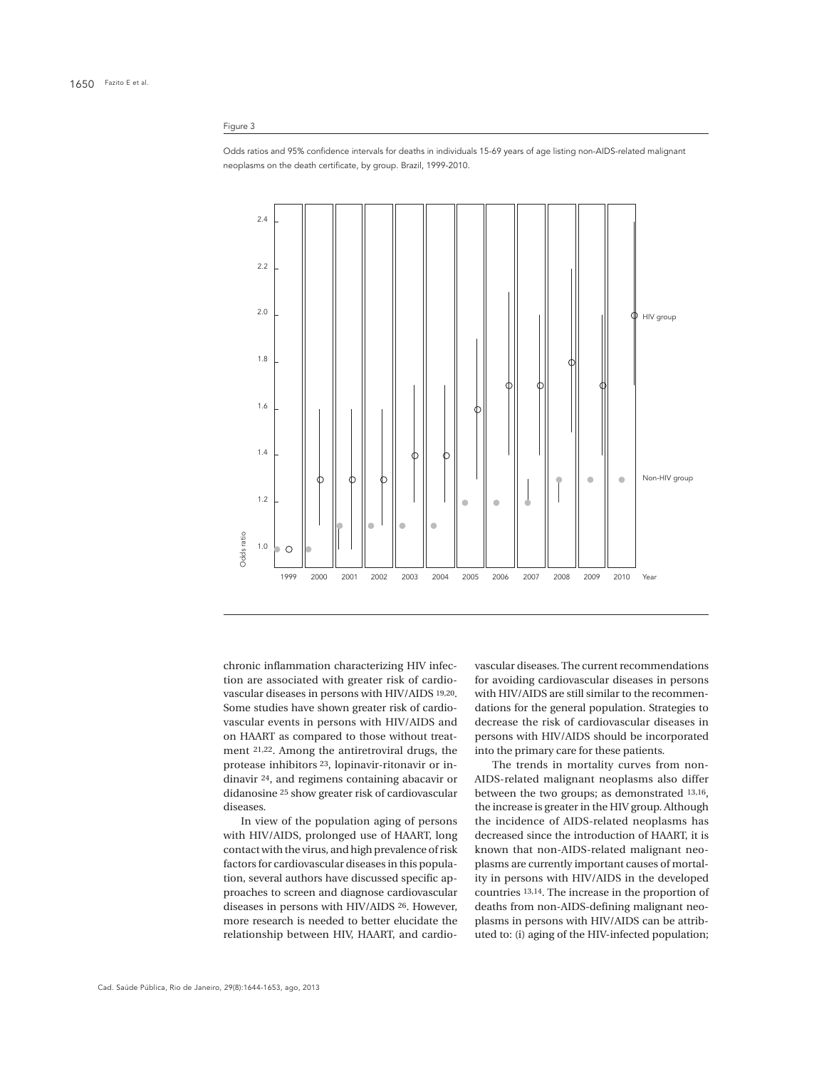### Figure 3

Odds ratios and 95% confidence intervals for deaths in individuals 15-69 years of age listing non-AIDS-related malignant neoplasms on the death certificate, by group. Brazil, 1999-2010.



chronic inflammation characterizing HIV infection are associated with greater risk of cardiovascular diseases in persons with HIV/AIDS 19,20. Some studies have shown greater risk of cardiovascular events in persons with HIV/AIDS and on HAART as compared to those without treatment 21,22. Among the antiretroviral drugs, the protease inhibitors 23, lopinavir-ritonavir or indinavir 24, and regimens containing abacavir or didanosine 25 show greater risk of cardiovascular diseases.

In view of the population aging of persons with HIV/AIDS, prolonged use of HAART, long contact with the virus, and high prevalence of risk factors for cardiovascular diseases in this population, several authors have discussed specific approaches to screen and diagnose cardiovascular diseases in persons with HIV/AIDS 26. However, more research is needed to better elucidate the relationship between HIV, HAART, and cardiovascular diseases. The current recommendations for avoiding cardiovascular diseases in persons with HIV/AIDS are still similar to the recommendations for the general population. Strategies to decrease the risk of cardiovascular diseases in persons with HIV/AIDS should be incorporated into the primary care for these patients.

The trends in mortality curves from non-AIDS-related malignant neoplasms also differ between the two groups; as demonstrated 13,16, the increase is greater in the HIV group. Although the incidence of AIDS-related neoplasms has decreased since the introduction of HAART, it is known that non-AIDS-related malignant neoplasms are currently important causes of mortality in persons with HIV/AIDS in the developed countries 13,14. The increase in the proportion of deaths from non-AIDS-defining malignant neoplasms in persons with HIV/AIDS can be attributed to: (i) aging of the HIV-infected population;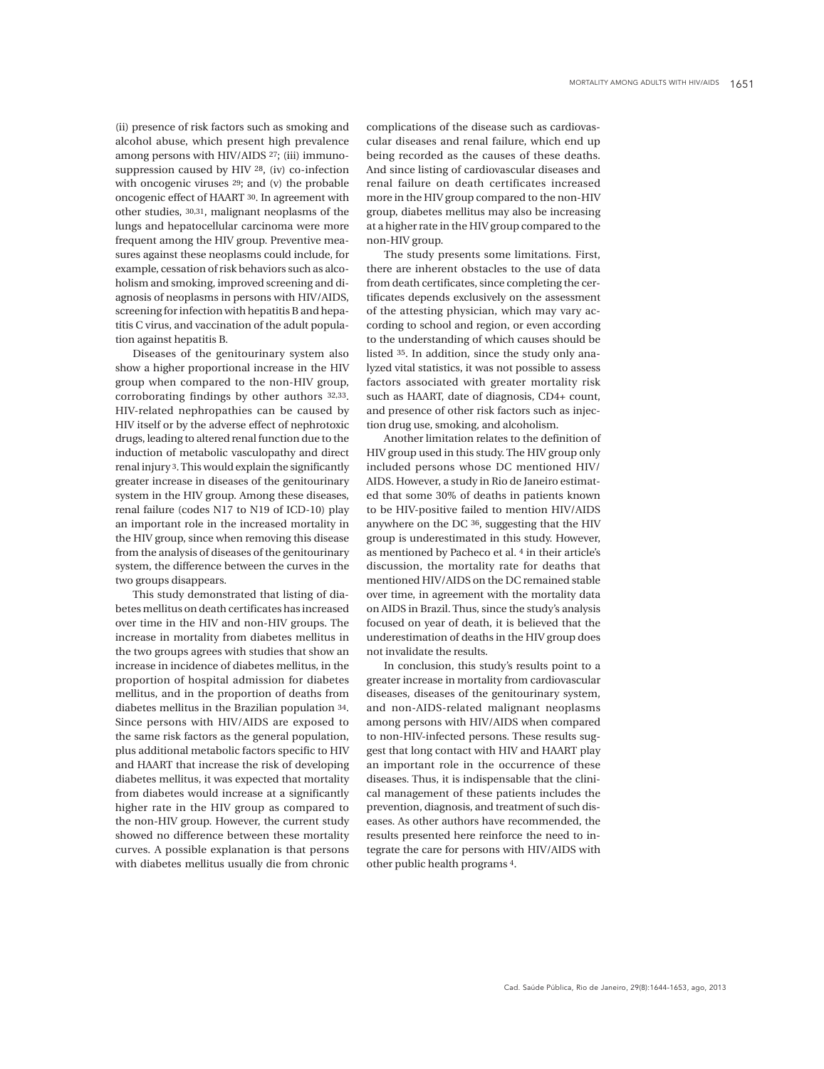(ii) presence of risk factors such as smoking and alcohol abuse, which present high prevalence among persons with HIV/AIDS 27; (iii) immunosuppression caused by HIV 28, (iv) co-infection with oncogenic viruses <sup>29</sup>; and (v) the probable oncogenic effect of HAART 30. In agreement with other studies, 30,31, malignant neoplasms of the lungs and hepatocellular carcinoma were more frequent among the HIV group. Preventive measures against these neoplasms could include, for example, cessation of risk behaviors such as alcoholism and smoking, improved screening and diagnosis of neoplasms in persons with HIV/AIDS, screening for infection with hepatitis B and hepatitis C virus, and vaccination of the adult population against hepatitis B.

Diseases of the genitourinary system also show a higher proportional increase in the HIV group when compared to the non-HIV group, corroborating findings by other authors 32,33. HIV-related nephropathies can be caused by HIV itself or by the adverse effect of nephrotoxic drugs, leading to altered renal function due to the induction of metabolic vasculopathy and direct renal injury 3. This would explain the significantly greater increase in diseases of the genitourinary system in the HIV group. Among these diseases, renal failure (codes N17 to N19 of ICD-10) play an important role in the increased mortality in the HIV group, since when removing this disease from the analysis of diseases of the genitourinary system, the difference between the curves in the two groups disappears.

This study demonstrated that listing of diabetes mellitus on death certificates has increased over time in the HIV and non-HIV groups. The increase in mortality from diabetes mellitus in the two groups agrees with studies that show an increase in incidence of diabetes mellitus, in the proportion of hospital admission for diabetes mellitus, and in the proportion of deaths from diabetes mellitus in the Brazilian population 34. Since persons with HIV/AIDS are exposed to the same risk factors as the general population, plus additional metabolic factors specific to HIV and HAART that increase the risk of developing diabetes mellitus, it was expected that mortality from diabetes would increase at a significantly higher rate in the HIV group as compared to the non-HIV group. However, the current study showed no difference between these mortality curves. A possible explanation is that persons with diabetes mellitus usually die from chronic

complications of the disease such as cardiovascular diseases and renal failure, which end up being recorded as the causes of these deaths. And since listing of cardiovascular diseases and renal failure on death certificates increased more in the HIV group compared to the non-HIV group, diabetes mellitus may also be increasing at a higher rate in the HIV group compared to the non-HIV group.

The study presents some limitations. First, there are inherent obstacles to the use of data from death certificates, since completing the certificates depends exclusively on the assessment of the attesting physician, which may vary according to school and region, or even according to the understanding of which causes should be listed 35. In addition, since the study only analyzed vital statistics, it was not possible to assess factors associated with greater mortality risk such as HAART, date of diagnosis, CD4+ count, and presence of other risk factors such as injection drug use, smoking, and alcoholism.

Another limitation relates to the definition of HIV group used in this study. The HIV group only included persons whose DC mentioned HIV/ AIDS. However, a study in Rio de Janeiro estimated that some 30% of deaths in patients known to be HIV-positive failed to mention HIV/AIDS anywhere on the DC 36, suggesting that the HIV group is underestimated in this study. However, as mentioned by Pacheco et al. 4 in their article's discussion, the mortality rate for deaths that mentioned HIV/AIDS on the DC remained stable over time, in agreement with the mortality data on AIDS in Brazil. Thus, since the study's analysis focused on year of death, it is believed that the underestimation of deaths in the HIV group does not invalidate the results.

In conclusion, this study's results point to a greater increase in mortality from cardiovascular diseases, diseases of the genitourinary system, and non-AIDS-related malignant neoplasms among persons with HIV/AIDS when compared to non-HIV-infected persons. These results suggest that long contact with HIV and HAART play an important role in the occurrence of these diseases. Thus, it is indispensable that the clinical management of these patients includes the prevention, diagnosis, and treatment of such diseases. As other authors have recommended, the results presented here reinforce the need to integrate the care for persons with HIV/AIDS with other public health programs 4.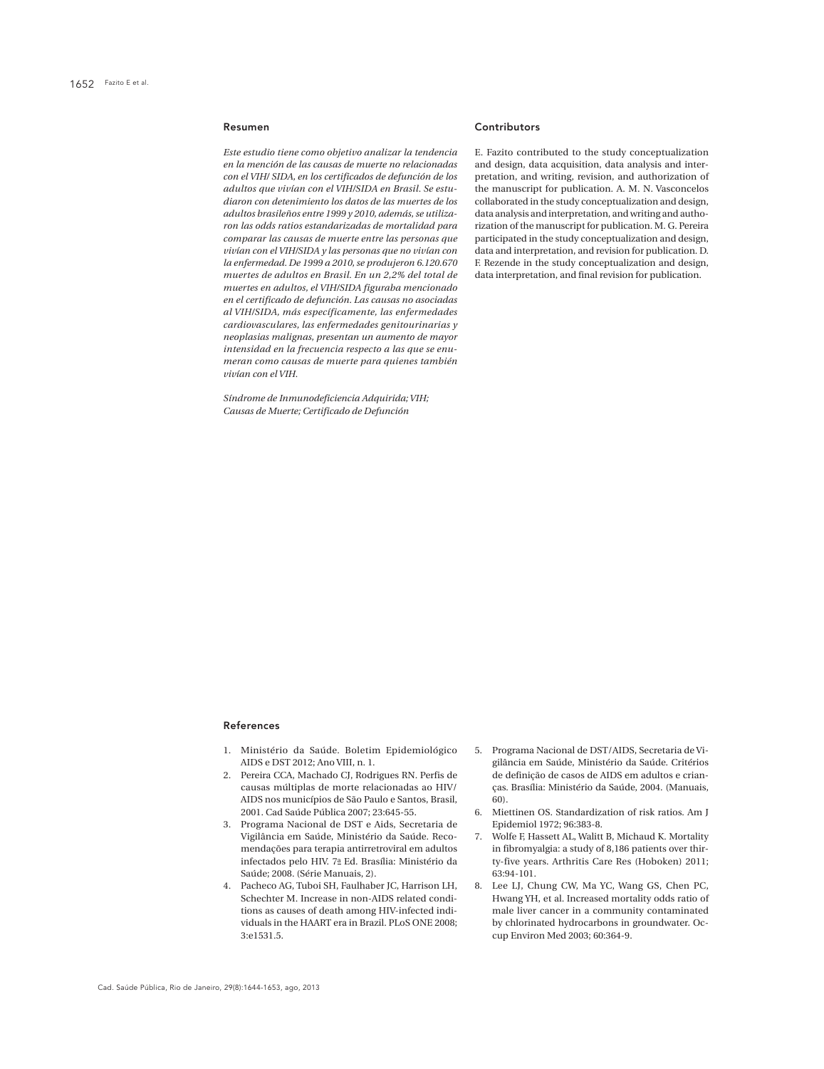#### Resumen

*Este estudio tiene como objetivo analizar la tendencia en la mención de las causas de muerte no relacionadas con el VIH/ SIDA, en los certificados de defunción de los adultos que vivían con el VIH/SIDA en Brasil. Se estudiaron con detenimiento los datos de las muertes de los adultos brasileños entre 1999 y 2010, además, se utilizaron las odds ratios estandarizadas de mortalidad para comparar las causas de muerte entre las personas que vivían con el VIH/SIDA y las personas que no vivían con la enfermedad. De 1999 a 2010, se produjeron 6.120.670 muertes de adultos en Brasil. En un 2,2% del total de muertes en adultos, el VIH/SIDA figuraba mencionado en el certificado de defunción. Las causas no asociadas al VIH/SIDA, más específicamente, las enfermedades cardiovasculares, las enfermedades genitourinarias y neoplasias malignas, presentan un aumento de mayor intensidad en la frecuencia respecto a las que se enumeran como causas de muerte para quienes también vivían con el VIH.*

*Síndrome de Inmunodeficiencia Adquirida; VIH; Causas de Muerte; Certificado de Defunción*

### **Contributors**

E. Fazito contributed to the study conceptualization and design, data acquisition, data analysis and interpretation, and writing, revision, and authorization of the manuscript for publication. A. M. N. Vasconcelos collaborated in the study conceptualization and design, data analysis and interpretation, and writing and authorization of the manuscript for publication. M. G. Pereira participated in the study conceptualization and design, data and interpretation, and revision for publication. D. F. Rezende in the study conceptualization and design, data interpretation, and final revision for publication.

#### References

- 1. Ministério da Saúde. Boletim Epidemiológico AIDS e DST 2012; Ano VIII, n. 1.
- 2. Pereira CCA, Machado CJ, Rodrigues RN. Perfis de causas múltiplas de morte relacionadas ao HIV/ AIDS nos municípios de São Paulo e Santos, Brasil, 2001. Cad Saúde Pública 2007; 23:645-55.
- 3. Programa Nacional de DST e Aids, Secretaria de Vigilância em Saúde, Ministério da Saúde. Recomendações para terapia antirretroviral em adultos infectados pelo HIV. 7a Ed. Brasília: Ministério da Saúde; 2008. (Série Manuais, 2).
- 4. Pacheco AG, Tuboi SH, Faulhaber JC, Harrison LH, Schechter M. Increase in non-AIDS related conditions as causes of death among HIV-infected individuals in the HAART era in Brazil. PLoS ONE 2008; 3:e1531.5.
- 5. Programa Nacional de DST/AIDS, Secretaria de Vigilância em Saúde, Ministério da Saúde. Critérios de definição de casos de AIDS em adultos e crianças. Brasília: Ministério da Saúde, 2004. (Manuais, 60).
- 6. Miettinen OS. Standardization of risk ratios. Am J Epidemiol 1972; 96:383-8.
- 7. Wolfe F, Hassett AL, Walitt B, Michaud K. Mortality in fibromyalgia: a study of 8,186 patients over thirty-five years. Arthritis Care Res (Hoboken) 2011; 63:94-101.
- 8. Lee LJ, Chung CW, Ma YC, Wang GS, Chen PC, Hwang YH, et al. Increased mortality odds ratio of male liver cancer in a community contaminated by chlorinated hydrocarbons in groundwater. Occup Environ Med 2003; 60:364-9.